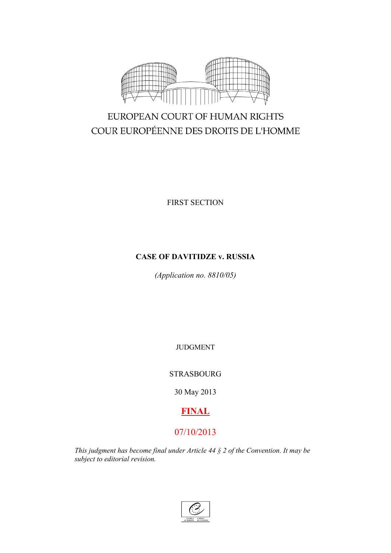

# EUROPEAN COURT OF HUMAN RIGHTS COUR EUROPÉENNE DES DROITS DE L'HOMME

FIRST SECTION

# **CASE OF DAVITIDZE v. RUSSIA**

*(Application no. 8810/05)*

JUDGMENT

STRASBOURG

30 May 2013

# **FINAL**

# 07/10/2013

*This judgment has become final under Article 44 § 2 of the Convention. It may be subject to editorial revision.*

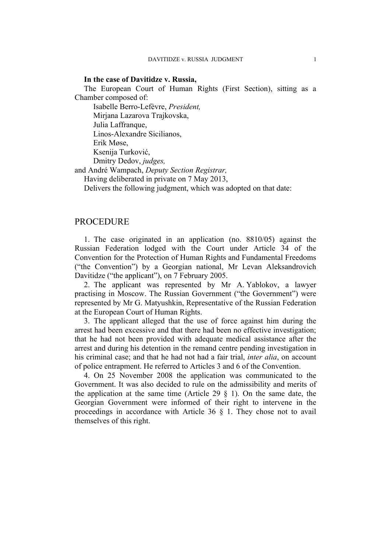#### **In the case of Davitidze v. Russia,**

The European Court of Human Rights (First Section), sitting as a Chamber composed of:

Isabelle Berro-Lefèvre, *President,* Mirjana Lazarova Trajkovska, Julia Laffranque, Linos-Alexandre Sicilianos, Erik Møse, Ksenija Turković, Dmitry Dedov, *judges,*

and André Wampach, *Deputy Section Registrar,*

Having deliberated in private on 7 May 2013,

Delivers the following judgment, which was adopted on that date:

# **PROCEDURE**

1. The case originated in an application (no. 8810/05) against the Russian Federation lodged with the Court under Article 34 of the Convention for the Protection of Human Rights and Fundamental Freedoms ("the Convention") by a Georgian national, Mr Levan Aleksandrovich Davitidze ("the applicant"), on 7 February 2005.

2. The applicant was represented by Mr A. Yablokov, a lawyer practising in Moscow. The Russian Government ("the Government") were represented by Mr G. Matyushkin, Representative of the Russian Federation at the European Court of Human Rights.

3. The applicant alleged that the use of force against him during the arrest had been excessive and that there had been no effective investigation; that he had not been provided with adequate medical assistance after the arrest and during his detention in the remand centre pending investigation in his criminal case; and that he had not had a fair trial, *inter alia*, on account of police entrapment. He referred to Articles 3 and 6 of the Convention.

4. On 25 November 2008 the application was communicated to the Government. It was also decided to rule on the admissibility and merits of the application at the same time (Article 29  $\S$  1). On the same date, the Georgian Government were informed of their right to intervene in the proceedings in accordance with Article 36 § 1. They chose not to avail themselves of this right.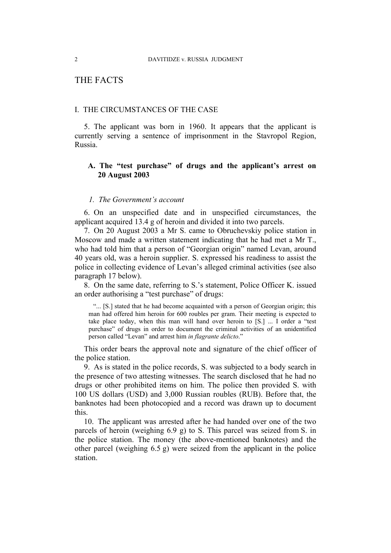# THE FACTS

## I. THE CIRCUMSTANCES OF THE CASE

5. The applicant was born in 1960. It appears that the applicant is currently serving a sentence of imprisonment in the Stavropol Region, Russia.

# **A. The "test purchase" of drugs and the applicant's arrest on 20 August 2003**

## *1. The Government's account*

6. On an unspecified date and in unspecified circumstances, the applicant acquired 13.4 g of heroin and divided it into two parcels.

7. On 20 August 2003 a Mr S. came to Obruchevskiy police station in Moscow and made a written statement indicating that he had met a Mr T., who had told him that a person of "Georgian origin" named Levan, around 40 years old, was a heroin supplier. S. expressed his readiness to assist the police in collecting evidence of Levan's alleged criminal activities (see also paragraph [17](#page-5-0) below).

8. On the same date, referring to S.'s statement, Police Officer K. issued an order authorising a "test purchase" of drugs:

"... [S.] stated that he had become acquainted with a person of Georgian origin; this man had offered him heroin for 600 roubles per gram. Their meeting is expected to take place today, when this man will hand over heroin to [S.] ... I order a "test purchase" of drugs in order to document the criminal activities of an unidentified person called "Levan" and arrest him *in flagrante delicto*."

This order bears the approval note and signature of the chief officer of the police station.

9. As is stated in the police records, S. was subjected to a body search in the presence of two attesting witnesses. The search disclosed that he had no drugs or other prohibited items on him. The police then provided S. with 100 US dollars (USD) and 3,000 Russian roubles (RUB). Before that, the banknotes had been photocopied and a record was drawn up to document this.

10. The applicant was arrested after he had handed over one of the two parcels of heroin (weighing 6.9 g) to S. This parcel was seized from S. in the police station. The money (the above-mentioned banknotes) and the other parcel (weighing 6.5 g) were seized from the applicant in the police station.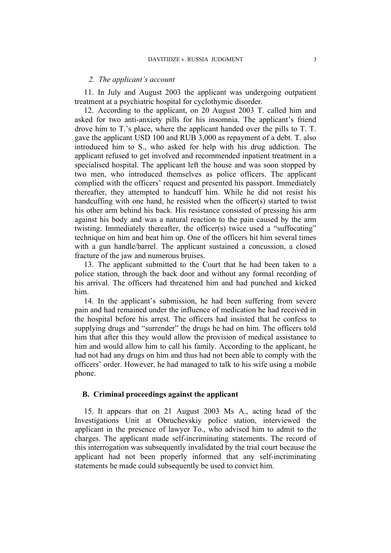#### *2. The applicant's account*

11. In July and August 2003 the applicant was undergoing outpatient treatment at a psychiatric hospital for cyclothymic disorder.

<span id="page-4-1"></span>12. According to the applicant, on 20 August 2003 T. called him and asked for two anti-anxiety pills for his insomnia. The applicant's friend drove him to T.'s place, where the applicant handed over the pills to T. T. gave the applicant USD 100 and RUB 3,000 as repayment of a debt. T. also introduced him to S., who asked for help with his drug addiction. The applicant refused to get involved and recommended inpatient treatment in a specialised hospital. The applicant left the house and was soon stopped by two men, who introduced themselves as police officers. The applicant complied with the officers' request and presented his passport. Immediately thereafter, they attempted to handcuff him. While he did not resist his handcuffing with one hand, he resisted when the officer(s) started to twist his other arm behind his back. His resistance consisted of pressing his arm against his body and was a natural reaction to the pain caused by the arm twisting. Immediately thereafter, the officer(s) twice used a "suffocating" technique on him and beat him up. One of the officers hit him several times with a gun handle/barrel. The applicant sustained a concussion, a closed fracture of the jaw and numerous bruises.

13. The applicant submitted to the Court that he had been taken to a police station, through the back door and without any formal recording of his arrival. The officers had threatened him and had punched and kicked him.

<span id="page-4-2"></span>14. In the applicant's submission, he had been suffering from severe pain and had remained under the influence of medication he had received in the hospital before his arrest. The officers had insisted that he confess to supplying drugs and "surrender" the drugs he had on him. The officers told him that after this they would allow the provision of medical assistance to him and would allow him to call his family. According to the applicant, he had not had any drugs on him and thus had not been able to comply with the officers' order. However, he had managed to talk to his wife using a mobile phone.

#### **B. Criminal proceedings against the applicant**

<span id="page-4-0"></span>15. It appears that on 21 August 2003 Ms A., acting head of the Investigations Unit at Obruchevskiy police station, interviewed the applicant in the presence of lawyer To., who advised him to admit to the charges. The applicant made self-incriminating statements. The record of this interrogation was subsequently invalidated by the trial court because the applicant had not been properly informed that any self-incriminating statements he made could subsequently be used to convict him.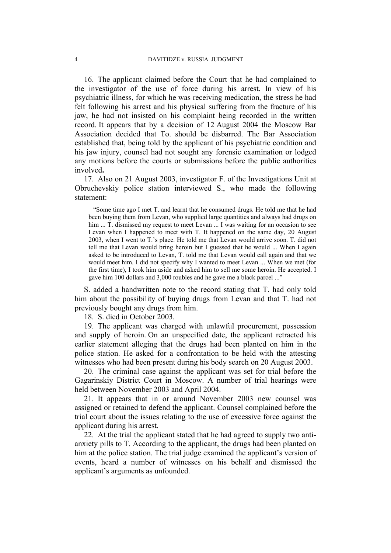<span id="page-5-1"></span>16. The applicant claimed before the Court that he had complained to the investigator of the use of force during his arrest. In view of his psychiatric illness, for which he was receiving medication, the stress he had felt following his arrest and his physical suffering from the fracture of his jaw, he had not insisted on his complaint being recorded in the written record. It appears that by a decision of 12 August 2004 the Moscow Bar Association decided that To. should be disbarred. The Bar Association established that, being told by the applicant of his psychiatric condition and his jaw injury, counsel had not sought any forensic examination or lodged any motions before the courts or submissions before the public authorities involved**.**

<span id="page-5-0"></span>17. Also on 21 August 2003, investigator F. of the Investigations Unit at Obruchevskiy police station interviewed S., who made the following statement:

"Some time ago I met T. and learnt that he consumed drugs. He told me that he had been buying them from Levan, who supplied large quantities and always had drugs on him ... T. dismissed my request to meet Levan ... I was waiting for an occasion to see Levan when I happened to meet with T. It happened on the same day, 20 August 2003, when I went to T.'s place. He told me that Levan would arrive soon. T. did not tell me that Levan would bring heroin but I guessed that he would ... When I again asked to be introduced to Levan, T. told me that Levan would call again and that we would meet him. I did not specify why I wanted to meet Levan ... When we met (for the first time), I took him aside and asked him to sell me some heroin. He accepted. I gave him 100 dollars and 3,000 roubles and he gave me a black parcel ..."

S. added a handwritten note to the record stating that T. had only told him about the possibility of buying drugs from Levan and that T. had not previously bought any drugs from him.

18. S. died in October 2003.

19. The applicant was charged with unlawful procurement, possession and supply of heroin. On an unspecified date, the applicant retracted his earlier statement alleging that the drugs had been planted on him in the police station. He asked for a confrontation to be held with the attesting witnesses who had been present during his body search on 20 August 2003.

20. The criminal case against the applicant was set for trial before the Gagarinskiy District Court in Moscow. A number of trial hearings were held between November 2003 and April 2004.

21. It appears that in or around November 2003 new counsel was assigned or retained to defend the applicant. Counsel complained before the trial court about the issues relating to the use of excessive force against the applicant during his arrest.

22. At the trial the applicant stated that he had agreed to supply two antianxiety pills to T. According to the applicant, the drugs had been planted on him at the police station. The trial judge examined the applicant's version of events, heard a number of witnesses on his behalf and dismissed the applicant's arguments as unfounded.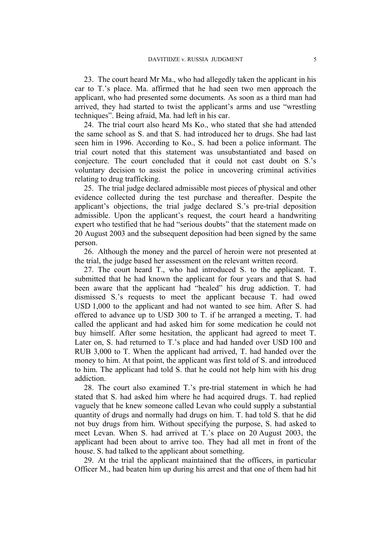23. The court heard Mr Ma., who had allegedly taken the applicant in his car to T.'s place. Ma. affirmed that he had seen two men approach the applicant, who had presented some documents. As soon as a third man had arrived, they had started to twist the applicant's arms and use "wrestling techniques". Being afraid, Ma. had left in his car.

24. The trial court also heard Ms Ko., who stated that she had attended the same school as S. and that S. had introduced her to drugs. She had last seen him in 1996. According to Ko., S. had been a police informant. The trial court noted that this statement was unsubstantiated and based on conjecture. The court concluded that it could not cast doubt on S.'s voluntary decision to assist the police in uncovering criminal activities relating to drug trafficking.

25. The trial judge declared admissible most pieces of physical and other evidence collected during the test purchase and thereafter. Despite the applicant's objections, the trial judge declared S.'s pre-trial deposition admissible. Upon the applicant's request, the court heard a handwriting expert who testified that he had "serious doubts" that the statement made on 20 August 2003 and the subsequent deposition had been signed by the same person.

26. Although the money and the parcel of heroin were not presented at the trial, the judge based her assessment on the relevant written record.

27. The court heard T., who had introduced S. to the applicant. T. submitted that he had known the applicant for four years and that S. had been aware that the applicant had "healed" his drug addiction. T. had dismissed S.'s requests to meet the applicant because T. had owed USD 1,000 to the applicant and had not wanted to see him. After S. had offered to advance up to USD 300 to T. if he arranged a meeting, T. had called the applicant and had asked him for some medication he could not buy himself. After some hesitation, the applicant had agreed to meet T. Later on, S. had returned to T.'s place and had handed over USD 100 and RUB 3,000 to T. When the applicant had arrived, T. had handed over the money to him. At that point, the applicant was first told of S. and introduced to him. The applicant had told S. that he could not help him with his drug addiction.

28. The court also examined T.'s pre-trial statement in which he had stated that S. had asked him where he had acquired drugs. T. had replied vaguely that he knew someone called Levan who could supply a substantial quantity of drugs and normally had drugs on him. T. had told S. that he did not buy drugs from him. Without specifying the purpose, S. had asked to meet Levan. When S. had arrived at T.'s place on 20 August 2003, the applicant had been about to arrive too. They had all met in front of the house. S. had talked to the applicant about something.

29. At the trial the applicant maintained that the officers, in particular Officer M., had beaten him up during his arrest and that one of them had hit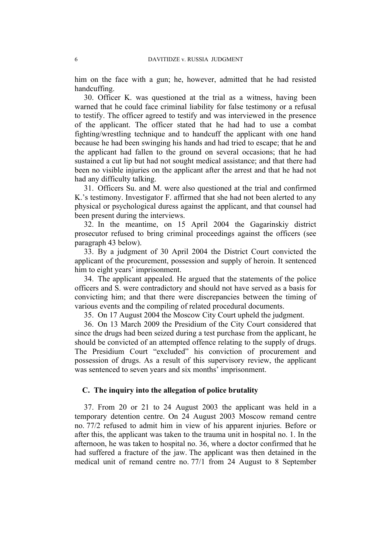him on the face with a gun; he, however, admitted that he had resisted handcuffing.

30. Officer K. was questioned at the trial as a witness, having been warned that he could face criminal liability for false testimony or a refusal to testify. The officer agreed to testify and was interviewed in the presence of the applicant. The officer stated that he had had to use a combat fighting/wrestling technique and to handcuff the applicant with one hand because he had been swinging his hands and had tried to escape; that he and the applicant had fallen to the ground on several occasions; that he had sustained a cut lip but had not sought medical assistance; and that there had been no visible injuries on the applicant after the arrest and that he had not had any difficulty talking.

31. Officers Su. and M. were also questioned at the trial and confirmed K.'s testimony. Investigator F. affirmed that she had not been alerted to any physical or psychological duress against the applicant, and that counsel had been present during the interviews.

32. In the meantime, on 15 April 2004 the Gagarinskiy district prosecutor refused to bring criminal proceedings against the officers (see paragraph [43](#page-8-0) below).

33. By a judgment of 30 April 2004 the District Court convicted the applicant of the procurement, possession and supply of heroin. It sentenced him to eight years' imprisonment.

34. The applicant appealed. He argued that the statements of the police officers and S. were contradictory and should not have served as a basis for convicting him; and that there were discrepancies between the timing of various events and the compiling of related procedural documents.

35. On 17 August 2004 the Moscow City Court upheld the judgment.

36. On 13 March 2009 the Presidium of the City Court considered that since the drugs had been seized during a test purchase from the applicant, he should be convicted of an attempted offence relating to the supply of drugs. The Presidium Court "excluded" his conviction of procurement and possession of drugs. As a result of this supervisory review, the applicant was sentenced to seven years and six months' imprisonment.

# **C. The inquiry into the allegation of police brutality**

<span id="page-7-0"></span>37. From 20 or 21 to 24 August 2003 the applicant was held in a temporary detention centre. On 24 August 2003 Moscow remand centre no. 77/2 refused to admit him in view of his apparent injuries. Before or after this, the applicant was taken to the trauma unit in hospital no. 1. In the afternoon, he was taken to hospital no. 36, where a doctor confirmed that he had suffered a fracture of the jaw. The applicant was then detained in the medical unit of remand centre no. 77/1 from 24 August to 8 September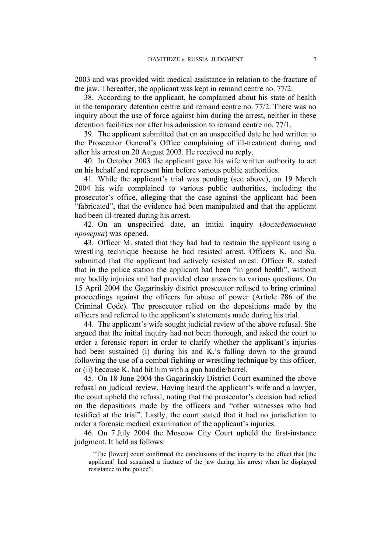2003 and was provided with medical assistance in relation to the fracture of the jaw. Thereafter, the applicant was kept in remand centre no. 77/2.

<span id="page-8-2"></span>38. According to the applicant, he complained about his state of health in the temporary detention centre and remand centre no. 77/2. There was no inquiry about the use of force against him during the arrest, neither in these detention facilities nor after his admission to remand centre no. 77/1.

39. The applicant submitted that on an unspecified date he had written to the Prosecutor General's Office complaining of ill-treatment during and after his arrest on 20 August 2003. He received no reply.

40. In October 2003 the applicant gave his wife written authority to act on his behalf and represent him before various public authorities.

<span id="page-8-3"></span>41. While the applicant's trial was pending (see above), on 19 March 2004 his wife complained to various public authorities, including the prosecutor's office, alleging that the case against the applicant had been "fabricated", that the evidence had been manipulated and that the applicant had been ill-treated during his arrest.

42. On an unspecified date, an initial inquiry (*доследственная проверка*) was opened.

<span id="page-8-0"></span>43. Officer M. stated that they had had to restrain the applicant using a wrestling technique because he had resisted arrest. Officers K. and Su. submitted that the applicant had actively resisted arrest. Officer R. stated that in the police station the applicant had been "in good health", without any bodily injuries and had provided clear answers to various questions. On 15 April 2004 the Gagarinskiy district prosecutor refused to bring criminal proceedings against the officers for abuse of power (Article 286 of the Criminal Code). The prosecutor relied on the depositions made by the officers and referred to the applicant's statements made during his trial.

44. The applicant's wife sought judicial review of the above refusal. She argued that the initial inquiry had not been thorough, and asked the court to order a forensic report in order to clarify whether the applicant's injuries had been sustained (i) during his and K.'s falling down to the ground following the use of a combat fighting or wrestling technique by this officer, or (ii) because K. had hit him with a gun handle/barrel.

45. On 18 June 2004 the Gagarinskiy District Court examined the above refusal on judicial review. Having heard the applicant's wife and a lawyer, the court upheld the refusal, noting that the prosecutor's decision had relied on the depositions made by the officers and "other witnesses who had testified at the trial". Lastly, the court stated that it had no jurisdiction to order a forensic medical examination of the applicant's injuries.

<span id="page-8-1"></span>46. On 7 July 2004 the Moscow City Court upheld the first-instance judgment. It held as follows:

"The [lower] court confirmed the conclusions of the inquiry to the effect that [the applicant] had sustained a fracture of the jaw during his arrest when he displayed resistance to the police".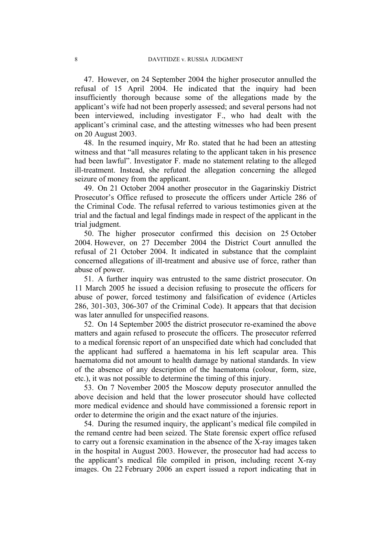47. However, on 24 September 2004 the higher prosecutor annulled the refusal of 15 April 2004. He indicated that the inquiry had been insufficiently thorough because some of the allegations made by the applicant's wife had not been properly assessed; and several persons had not been interviewed, including investigator F., who had dealt with the applicant's criminal case, and the attesting witnesses who had been present on 20 August 2003.

48. In the resumed inquiry, Mr Ro. stated that he had been an attesting witness and that "all measures relating to the applicant taken in his presence had been lawful". Investigator F. made no statement relating to the alleged ill-treatment. Instead, she refuted the allegation concerning the alleged seizure of money from the applicant.

49. On 21 October 2004 another prosecutor in the Gagarinskiy District Prosecutor's Office refused to prosecute the officers under Article 286 of the Criminal Code. The refusal referred to various testimonies given at the trial and the factual and legal findings made in respect of the applicant in the trial judgment.

<span id="page-9-2"></span>50. The higher prosecutor confirmed this decision on 25 October 2004. However, on 27 December 2004 the District Court annulled the refusal of 21 October 2004. It indicated in substance that the complaint concerned allegations of ill-treatment and abusive use of force, rather than abuse of power.

51. A further inquiry was entrusted to the same district prosecutor. On 11 March 2005 he issued a decision refusing to prosecute the officers for abuse of power, forced testimony and falsification of evidence (Articles 286, 301-303, 306-307 of the Criminal Code). It appears that that decision was later annulled for unspecified reasons.

<span id="page-9-0"></span>52. On 14 September 2005 the district prosecutor re-examined the above matters and again refused to prosecute the officers. The prosecutor referred to a medical forensic report of an unspecified date which had concluded that the applicant had suffered a haematoma in his left scapular area. This haematoma did not amount to health damage by national standards. In view of the absence of any description of the haematoma (colour, form, size, etc.), it was not possible to determine the timing of this injury.

53. On 7 November 2005 the Moscow deputy prosecutor annulled the above decision and held that the lower prosecutor should have collected more medical evidence and should have commissioned a forensic report in order to determine the origin and the exact nature of the injuries.

<span id="page-9-1"></span>54. During the resumed inquiry, the applicant's medical file compiled in the remand centre had been seized. The State forensic expert office refused to carry out a forensic examination in the absence of the X-ray images taken in the hospital in August 2003. However, the prosecutor had had access to the applicant's medical file compiled in prison, including recent X-ray images. On 22 February 2006 an expert issued a report indicating that in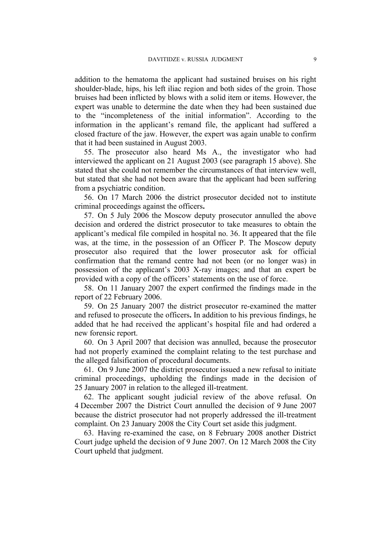addition to the hematoma the applicant had sustained bruises on his right shoulder-blade, hips, his left iliac region and both sides of the groin. Those bruises had been inflicted by blows with a solid item or items. However, the expert was unable to determine the date when they had been sustained due to the "incompleteness of the initial information". According to the information in the applicant's remand file, the applicant had suffered a closed fracture of the jaw. However, the expert was again unable to confirm that it had been sustained in August 2003.

55. The prosecutor also heard Ms A., the investigator who had interviewed the applicant on 21 August 2003 (see paragraph [15](#page-4-0) above). She stated that she could not remember the circumstances of that interview well, but stated that she had not been aware that the applicant had been suffering from a psychiatric condition.

56. On 17 March 2006 the district prosecutor decided not to institute criminal proceedings against the officers**.**

57. On 5 July 2006 the Moscow deputy prosecutor annulled the above decision and ordered the district prosecutor to take measures to obtain the applicant's medical file compiled in hospital no. 36. It appeared that the file was, at the time, in the possession of an Officer P. The Moscow deputy prosecutor also required that the lower prosecutor ask for official confirmation that the remand centre had not been (or no longer was) in possession of the applicant's 2003 X-ray images; and that an expert be provided with a copy of the officers' statements on the use of force.

58. On 11 January 2007 the expert confirmed the findings made in the report of 22 February 2006.

59. On 25 January 2007 the district prosecutor re-examined the matter and refused to prosecute the officers**.** In addition to his previous findings, he added that he had received the applicant's hospital file and had ordered a new forensic report.

60. On 3 April 2007 that decision was annulled, because the prosecutor had not properly examined the complaint relating to the test purchase and the alleged falsification of procedural documents.

61. On 9 June 2007 the district prosecutor issued a new refusal to initiate criminal proceedings, upholding the findings made in the decision of 25 January 2007 in relation to the alleged ill-treatment.

62. The applicant sought judicial review of the above refusal. On 4 December 2007 the District Court annulled the decision of 9 June 2007 because the district prosecutor had not properly addressed the ill-treatment complaint. On 23 January 2008 the City Court set aside this judgment.

<span id="page-10-0"></span>63. Having re-examined the case, on 8 February 2008 another District Court judge upheld the decision of 9 June 2007. On 12 March 2008 the City Court upheld that judgment.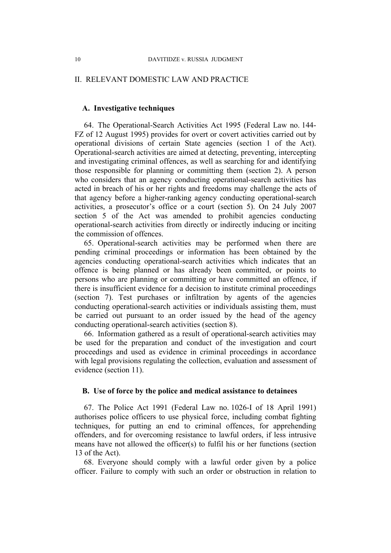## II. RELEVANT DOMESTIC LAW AND PRACTICE

# **A. Investigative techniques**

64. The Operational-Search Activities Act 1995 (Federal Law no. 144- FZ of 12 August 1995) provides for overt or covert activities carried out by operational divisions of certain State agencies (section 1 of the Act). Operational-search activities are aimed at detecting, preventing, intercepting and investigating criminal offences, as well as searching for and identifying those responsible for planning or committing them (section 2). A person who considers that an agency conducting operational-search activities has acted in breach of his or her rights and freedoms may challenge the acts of that agency before a higher-ranking agency conducting operational-search activities, a prosecutor's office or a court (section 5). On 24 July 2007 section 5 of the Act was amended to prohibit agencies conducting operational-search activities from directly or indirectly inducing or inciting the commission of offences.

65. Operational-search activities may be performed when there are pending criminal proceedings or information has been obtained by the agencies conducting operational-search activities which indicates that an offence is being planned or has already been committed, or points to persons who are planning or committing or have committed an offence, if there is insufficient evidence for a decision to institute criminal proceedings (section 7). Test purchases or infiltration by agents of the agencies conducting operational-search activities or individuals assisting them, must be carried out pursuant to an order issued by the head of the agency conducting operational-search activities (section 8).

66. Information gathered as a result of operational-search activities may be used for the preparation and conduct of the investigation and court proceedings and used as evidence in criminal proceedings in accordance with legal provisions regulating the collection, evaluation and assessment of evidence (section 11).

# **B. Use of force by the police and medical assistance to detainees**

67. The Police Act 1991 (Federal Law no. 1026-I of 18 April 1991) authorises police officers to use physical force, including combat fighting techniques, for putting an end to criminal offences, for apprehending offenders, and for overcoming resistance to lawful orders, if less intrusive means have not allowed the officer(s) to fulfil his or her functions (section 13 of the Act).

68. Everyone should comply with a lawful order given by a police officer. Failure to comply with such an order or obstruction in relation to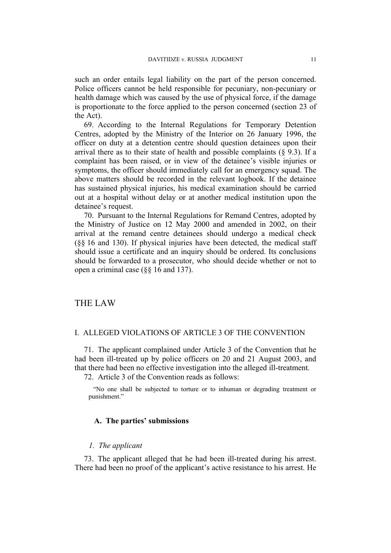such an order entails legal liability on the part of the person concerned. Police officers cannot be held responsible for pecuniary, non-pecuniary or health damage which was caused by the use of physical force, if the damage is proportionate to the force applied to the person concerned (section 23 of the Act).

69. According to the Internal Regulations for Temporary Detention Centres, adopted by the Ministry of the Interior on 26 January 1996, the officer on duty at a detention centre should question detainees upon their arrival there as to their state of health and possible complaints  $(\S$  9.3). If a complaint has been raised, or in view of the detainee's visible injuries or symptoms, the officer should immediately call for an emergency squad. The above matters should be recorded in the relevant logbook. If the detainee has sustained physical injuries, his medical examination should be carried out at a hospital without delay or at another medical institution upon the detainee's request.

70. Pursuant to the Internal Regulations for Remand Centres, adopted by the Ministry of Justice on 12 May 2000 and amended in 2002, on their arrival at the remand centre detainees should undergo a medical check (§§ 16 and 130). If physical injuries have been detected, the medical staff should issue a certificate and an inquiry should be ordered. Its conclusions should be forwarded to a prosecutor, who should decide whether or not to open a criminal case (§§ 16 and 137).

# THE LAW

# I. ALLEGED VIOLATIONS OF ARTICLE 3 OF THE CONVENTION

71. The applicant complained under Article 3 of the Convention that he had been ill-treated up by police officers on 20 and 21 August 2003, and that there had been no effective investigation into the alleged ill-treatment.

72. Article 3 of the Convention reads as follows:

"No one shall be subjected to torture or to inhuman or degrading treatment or punishment."

# **A. The parties' submissions**

## *1. The applicant*

73. The applicant alleged that he had been ill-treated during his arrest. There had been no proof of the applicant's active resistance to his arrest. He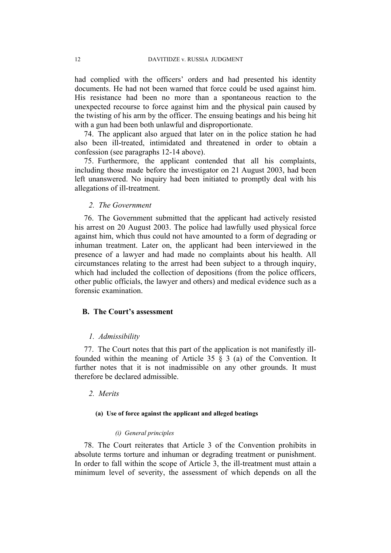had complied with the officers' orders and had presented his identity documents. He had not been warned that force could be used against him. His resistance had been no more than a spontaneous reaction to the unexpected recourse to force against him and the physical pain caused by the twisting of his arm by the officer. The ensuing beatings and his being hit with a gun had been both unlawful and disproportionate.

74. The applicant also argued that later on in the police station he had also been ill-treated, intimidated and threatened in order to obtain a confession (see paragraphs [12-](#page-4-1)[14](#page-4-2) above).

75. Furthermore, the applicant contended that all his complaints, including those made before the investigator on 21 August 2003, had been left unanswered. No inquiry had been initiated to promptly deal with his allegations of ill-treatment.

# *2. The Government*

76. The Government submitted that the applicant had actively resisted his arrest on 20 August 2003. The police had lawfully used physical force against him, which thus could not have amounted to a form of degrading or inhuman treatment. Later on, the applicant had been interviewed in the presence of a lawyer and had made no complaints about his health. All circumstances relating to the arrest had been subject to a through inquiry, which had included the collection of depositions (from the police officers, other public officials, the lawyer and others) and medical evidence such as a forensic examination.

#### **B. The Court's assessment**

## *1. Admissibility*

77. The Court notes that this part of the application is not manifestly illfounded within the meaning of Article 35  $\hat{\S}$  3 (a) of the Convention. It further notes that it is not inadmissible on any other grounds. It must therefore be declared admissible.

# *2. Merits*

#### **(a) Use of force against the applicant and alleged beatings**

#### *(i) General principles*

78. The Court reiterates that Article 3 of the Convention prohibits in absolute terms torture and inhuman or degrading treatment or punishment. In order to fall within the scope of Article 3, the ill-treatment must attain a minimum level of severity, the assessment of which depends on all the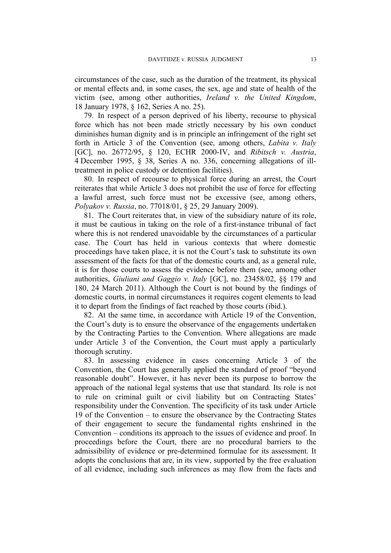circumstances of the case, such as the duration of the treatment, its physical or mental effects and, in some cases, the sex, age and state of health of the victim (see, among other authorities, *Ireland v. the United Kingdom*, 18 January 1978, § 162, Series A no. 25).

79. In respect of a person deprived of his liberty, recourse to physical force which has not been made strictly necessary by his own conduct diminishes human dignity and is in principle an infringement of the right set forth in Article 3 of the Convention (see, among others, *Labita v. Italy* [GC], no. 26772/95, § 120, ECHR 2000-IV, and *Ribitsch v. Austria*, 4 December 1995, § 38, Series A no. 336, concerning allegations of illtreatment in police custody or detention facilities).

80. In respect of recourse to physical force during an arrest, the Court reiterates that while Article 3 does not prohibit the use of force for effecting a lawful arrest, such force must not be excessive (see, among others, *Polyakov v. Russia*, no. 77018/01, § 25, 29 January 2009).

81. The Court reiterates that, in view of the subsidiary nature of its role, it must be cautious in taking on the role of a first-instance tribunal of fact where this is not rendered unavoidable by the circumstances of a particular case. The Court has held in various contexts that where domestic proceedings have taken place, it is not the Court's task to substitute its own assessment of the facts for that of the domestic courts and, as a general rule, it is for those courts to assess the evidence before them (see, among other authorities, *Giuliani and Gaggio v. Italy* [GC], no. 23458/02, §§ 179 and 180, 24 March 2011). Although the Court is not bound by the findings of domestic courts, in normal circumstances it requires cogent elements to lead it to depart from the findings of fact reached by those courts (ibid.).

82. At the same time, in accordance with Article 19 of the Convention, the Court's duty is to ensure the observance of the engagements undertaken by the Contracting Parties to the Convention. Where allegations are made under Article 3 of the Convention, the Court must apply a particularly thorough scrutiny.

83. In assessing evidence in cases concerning Article 3 of the Convention, the Court has generally applied the standard of proof "beyond reasonable doubt". However, it has never been its purpose to borrow the approach of the national legal systems that use that standard. Its role is not to rule on criminal guilt or civil liability but on Contracting States' responsibility under the Convention. The specificity of its task under Article 19 of the Convention – to ensure the observance by the Contracting States of their engagement to secure the fundamental rights enshrined in the Convention – conditions its approach to the issues of evidence and proof. In proceedings before the Court, there are no procedural barriers to the admissibility of evidence or pre-determined formulae for its assessment. It adopts the conclusions that are, in its view, supported by the free evaluation of all evidence, including such inferences as may flow from the facts and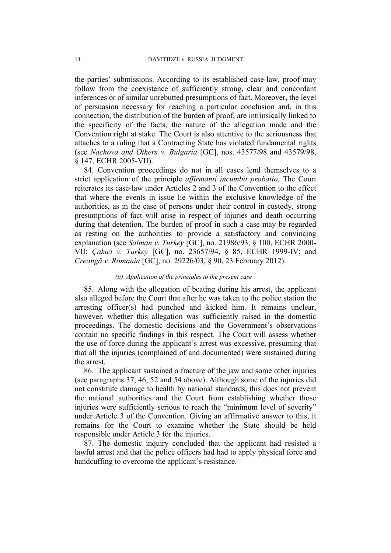the parties' submissions. According to its established case-law, proof may follow from the coexistence of sufficiently strong, clear and concordant inferences or of similar unrebutted presumptions of fact. Moreover, the level of persuasion necessary for reaching a particular conclusion and, in this connection, the distribution of the burden of proof, are intrinsically linked to the specificity of the facts, the nature of the allegation made and the Convention right at stake. The Court is also attentive to the seriousness that attaches to a ruling that a Contracting State has violated fundamental rights (see *Nachova and Others v. Bulgaria* [GC], nos. 43577/98 and 43579/98, § 147, ECHR 2005-VII).

84. Convention proceedings do not in all cases lend themselves to a strict application of the principle *affirmanti incumbit probatio*. The Court reiterates its case-law under Articles 2 and 3 of the Convention to the effect that where the events in issue lie within the exclusive knowledge of the authorities, as in the case of persons under their control in custody, strong presumptions of fact will arise in respect of injuries and death occurring during that detention. The burden of proof in such a case may be regarded as resting on the authorities to provide a satisfactory and convincing explanation (see *Salman v. Turkey* [GC], no. 21986/93, § 100, ECHR 2000- VII; *Çakıcı v. Turkey* [GC], no. 23657/94, § 85, ECHR 1999-IV; and *Creangă v. Romania* [GC], no. 29226/03, § 90, 23 February 2012).

# *(ii) Application of the principles to the present case*

85. Along with the allegation of beating during his arrest, the applicant also alleged before the Court that after he was taken to the police station the arresting officer(s) had punched and kicked him. It remains unclear, however, whether this allegation was sufficiently raised in the domestic proceedings. The domestic decisions and the Government's observations contain no specific findings in this respect. The Court will assess whether the use of force during the applicant's arrest was excessive, presuming that that all the injuries (complained of and documented) were sustained during the arrest.

86. The applicant sustained a fracture of the jaw and some other injuries (see paragraphs [37](#page-7-0), [46](#page-8-1), [52](#page-9-0) and [54](#page-9-1) above). Although some of the injuries did not constitute damage to health by national standards, this does not prevent the national authorities and the Court from establishing whether those injuries were sufficiently serious to reach the "minimum level of severity" under Article 3 of the Convention. Giving an affirmative answer to this, it remains for the Court to examine whether the State should be held responsible under Article 3 for the injuries.

87. The domestic inquiry concluded that the applicant had resisted a lawful arrest and that the police officers had had to apply physical force and handcuffing to overcome the applicant's resistance.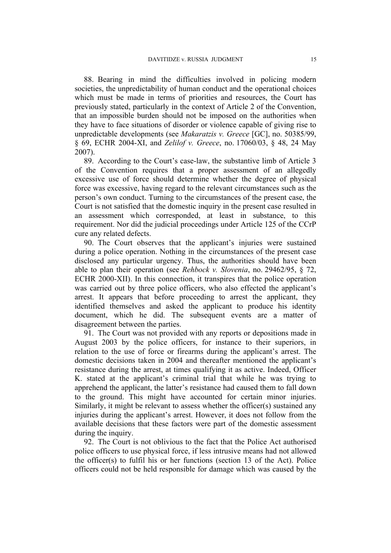88. Bearing in mind the difficulties involved in policing modern societies, the unpredictability of human conduct and the operational choices which must be made in terms of priorities and resources, the Court has previously stated, particularly in the context of Article 2 of the Convention, that an impossible burden should not be imposed on the authorities when they have to face situations of disorder or violence capable of giving rise to unpredictable developments (see *Makaratzis v. Greece* [GC], no. 50385/99, § 69, ECHR 2004-XI, and *Zelilof v. Greece*, no. 17060/03, § 48, 24 May 2007).

89. According to the Court's case-law, the substantive limb of Article 3 of the Convention requires that a proper assessment of an allegedly excessive use of force should determine whether the degree of physical force was excessive, having regard to the relevant circumstances such as the person's own conduct. Turning to the circumstances of the present case, the Court is not satisfied that the domestic inquiry in the present case resulted in an assessment which corresponded, at least in substance, to this requirement. Nor did the judicial proceedings under Article 125 of the CCrP cure any related defects.

90. The Court observes that the applicant's injuries were sustained during a police operation. Nothing in the circumstances of the present case disclosed any particular urgency. Thus, the authorities should have been able to plan their operation (see *Rehbock v. Slovenia*, no. 29462/95, § 72, ECHR 2000-XII). In this connection, it transpires that the police operation was carried out by three police officers, who also effected the applicant's arrest. It appears that before proceeding to arrest the applicant, they identified themselves and asked the applicant to produce his identity document, which he did. The subsequent events are a matter of disagreement between the parties.

<span id="page-16-0"></span>91. The Court was not provided with any reports or depositions made in August 2003 by the police officers, for instance to their superiors, in relation to the use of force or firearms during the applicant's arrest. The domestic decisions taken in 2004 and thereafter mentioned the applicant's resistance during the arrest, at times qualifying it as active. Indeed, Officer K. stated at the applicant's criminal trial that while he was trying to apprehend the applicant, the latter's resistance had caused them to fall down to the ground. This might have accounted for certain minor injuries. Similarly, it might be relevant to assess whether the officer(s) sustained any injuries during the applicant's arrest. However, it does not follow from the available decisions that these factors were part of the domestic assessment during the inquiry.

92. The Court is not oblivious to the fact that the Police Act authorised police officers to use physical force, if less intrusive means had not allowed the officer(s) to fulfil his or her functions (section 13 of the Act). Police officers could not be held responsible for damage which was caused by the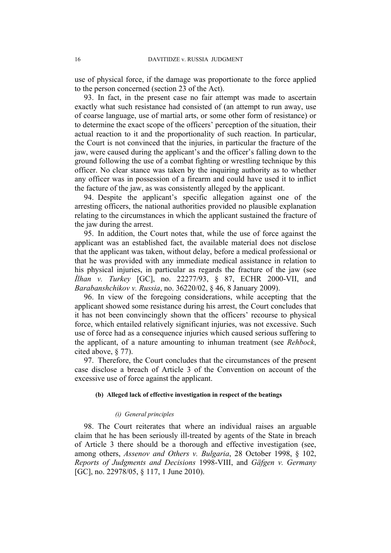use of physical force, if the damage was proportionate to the force applied to the person concerned (section 23 of the Act).

93. In fact, in the present case no fair attempt was made to ascertain exactly what such resistance had consisted of (an attempt to run away, use of coarse language, use of martial arts, or some other form of resistance) or to determine the exact scope of the officers' perception of the situation, their actual reaction to it and the proportionality of such reaction. In particular, the Court is not convinced that the injuries, in particular the fracture of the jaw, were caused during the applicant's and the officer's falling down to the ground following the use of a combat fighting or wrestling technique by this officer. No clear stance was taken by the inquiring authority as to whether any officer was in possession of a firearm and could have used it to inflict the facture of the jaw, as was consistently alleged by the applicant.

<span id="page-17-0"></span>94. Despite the applicant's specific allegation against one of the arresting officers, the national authorities provided no plausible explanation relating to the circumstances in which the applicant sustained the fracture of the jaw during the arrest.

95. In addition, the Court notes that, while the use of force against the applicant was an established fact, the available material does not disclose that the applicant was taken, without delay, before a medical professional or that he was provided with any immediate medical assistance in relation to his physical injuries, in particular as regards the fracture of the jaw (see *İlhan v. Turkey* [GC], no. 22277/93, § 87, ECHR 2000-VII, and *Barabanshchikov v. Russia*, no. 36220/02, § 46, 8 January 2009).

96. In view of the foregoing considerations, while accepting that the applicant showed some resistance during his arrest, the Court concludes that it has not been convincingly shown that the officers' recourse to physical force, which entailed relatively significant injuries, was not excessive. Such use of force had as a consequence injuries which caused serious suffering to the applicant, of a nature amounting to inhuman treatment (see *Rehbock*, cited above, § 77).

97. Therefore, the Court concludes that the circumstances of the present case disclose a breach of Article 3 of the Convention on account of the excessive use of force against the applicant.

#### **(b) Alleged lack of effective investigation in respect of the beatings**

#### *(i) General principles*

98. The Court reiterates that where an individual raises an arguable claim that he has been seriously ill-treated by agents of the State in breach of Article 3 there should be a thorough and effective investigation (see, among others, *Assenov and Others v. Bulgaria*, 28 October 1998, § 102, *Reports of Judgments and Decisions* 1998-VIII, and *Gäfgen v. Germany* [GC], no. 22978/05, § 117, 1 June 2010).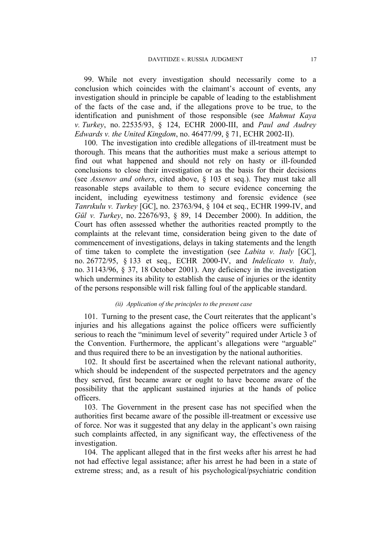99. While not every investigation should necessarily come to a conclusion which coincides with the claimant's account of events, any investigation should in principle be capable of leading to the establishment of the facts of the case and, if the allegations prove to be true, to the identification and punishment of those responsible (see *Mahmut Kaya v. Turkey*, no. 22535/93, § 124, ECHR 2000-III, and *Paul and Audrey Edwards v. the United Kingdom*, no. 46477/99, § 71, ECHR 2002-II).

100. The investigation into credible allegations of ill-treatment must be thorough. This means that the authorities must make a serious attempt to find out what happened and should not rely on hasty or ill-founded conclusions to close their investigation or as the basis for their decisions (see *Assenov and others*, cited above, § 103 et seq.). They must take all reasonable steps available to them to secure evidence concerning the incident, including eyewitness testimony and forensic evidence (see *Tanrıkulu v. Turkey* [GC], no. 23763/94, § 104 et seq., ECHR 1999-IV, and *Gül v. Turkey*, no. 22676/93, § 89, 14 December 2000). In addition, the Court has often assessed whether the authorities reacted promptly to the complaints at the relevant time, consideration being given to the date of commencement of investigations, delays in taking statements and the length of time taken to complete the investigation (see *Labita v. Italy* [GC], no. 26772/95, § 133 et seq., ECHR 2000-IV, and *Indelicato v. Italy*, no. 31143/96, § 37, 18 October 2001). Any deficiency in the investigation which undermines its ability to establish the cause of injuries or the identity of the persons responsible will risk falling foul of the applicable standard.

#### *(ii) Application of the principles to the present case*

<span id="page-18-0"></span>101. Turning to the present case, the Court reiterates that the applicant's injuries and his allegations against the police officers were sufficiently serious to reach the "minimum level of severity" required under Article 3 of the Convention. Furthermore, the applicant's allegations were "arguable" and thus required there to be an investigation by the national authorities.

102. It should first be ascertained when the relevant national authority, which should be independent of the suspected perpetrators and the agency they served, first became aware or ought to have become aware of the possibility that the applicant sustained injuries at the hands of police officers.

103. The Government in the present case has not specified when the authorities first became aware of the possible ill-treatment or excessive use of force. Nor was it suggested that any delay in the applicant's own raising such complaints affected, in any significant way, the effectiveness of the investigation.

104. The applicant alleged that in the first weeks after his arrest he had not had effective legal assistance; after his arrest he had been in a state of extreme stress; and, as a result of his psychological/psychiatric condition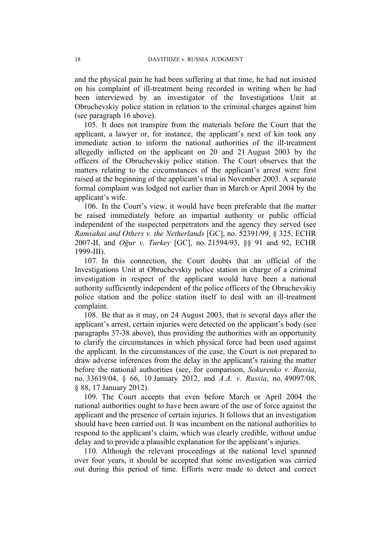and the physical pain he had been suffering at that time, he had not insisted on his complaint of ill-treatment being recorded in writing when he had been interviewed by an investigator of the Investigations Unit at Obruchevskiy police station in relation to the criminal charges against him (see paragraph [16](#page-5-1) above).

105. It does not transpire from the materials before the Court that the applicant, a lawyer or, for instance, the applicant's next of kin took any immediate action to inform the national authorities of the ill-treatment allegedly inflicted on the applicant on 20 and 21 August 2003 by the officers of the Obruchevskiy police station. The Court observes that the matters relating to the circumstances of the applicant's arrest were first raised at the beginning of the applicant's trial in November 2003. A separate formal complaint was lodged not earlier than in March or April 2004 by the applicant's wife.

106. In the Court's view, it would have been preferable that the matter be raised immediately before an impartial authority or public official independent of the suspected perpetrators and the agency they served (see *Ramsahai and Others v. the Netherlands* [GC], no. 52391/99, § 325, ECHR 2007-II, and *Oğur v. Turkey* [GC], no. 21594/93, §§ 91 and 92, ECHR 1999-III).

107. In this connection, the Court doubts that an official of the Investigations Unit at Obruchevskiy police station in charge of a criminal investigation in respect of the applicant would have been a national authority sufficiently independent of the police officers of the Obruchevskiy police station and the police station itself to deal with an ill-treatment complaint.

108. Be that as it may, on 24 August 2003, that is several days after the applicant's arrest, certain injuries were detected on the applicant's body (see paragraphs [37-](#page-7-0)[38](#page-8-2) above), thus providing the authorities with an opportunity to clarify the circumstances in which physical force had been used against the applicant. In the circumstances of the case, the Court is not prepared to draw adverse inferences from the delay in the applicant's raising the matter before the national authorities (see, for comparison, *Sokurenko v. Russia*, no. 33619/04, § 66, 10 January 2012, and *A.A. v. Russia*, no. 49097/08, § 88, 17 January 2012).

109. The Court accepts that even before March or April 2004 the national authorities ought to have been aware of the use of force against the applicant and the presence of certain injuries. It follows that an investigation should have been carried out. It was incumbent on the national authorities to respond to the applicant's claim, which was clearly credible, without undue delay and to provide a plausible explanation for the applicant's injuries.

110. Although the relevant proceedings at the national level spanned over four years, it should be accepted that some investigation was carried out during this period of time. Efforts were made to detect and correct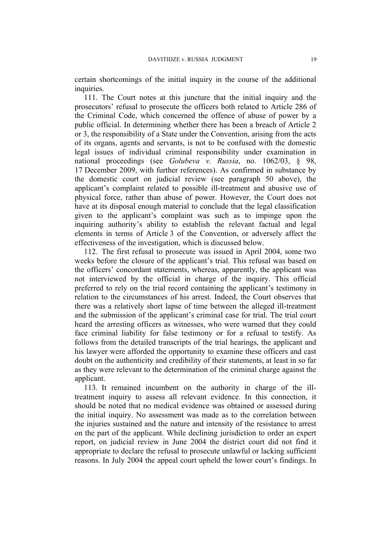certain shortcomings of the initial inquiry in the course of the additional inquiries.

111. The Court notes at this juncture that the initial inquiry and the prosecutors' refusal to prosecute the officers both related to Article 286 of the Criminal Code, which concerned the offence of abuse of power by a public official. In determining whether there has been a breach of Article 2 or 3, the responsibility of a State under the Convention, arising from the acts of its organs, agents and servants, is not to be confused with the domestic legal issues of individual criminal responsibility under examination in national proceedings (see *Golubeva v. Russia*, no. 1062/03, § 98, 17 December 2009, with further references). As confirmed in substance by the domestic court on judicial review (see paragraph [50](#page-9-2) above), the applicant's complaint related to possible ill-treatment and abusive use of physical force, rather than abuse of power. However, the Court does not have at its disposal enough material to conclude that the legal classification given to the applicant's complaint was such as to impinge upon the inquiring authority's ability to establish the relevant factual and legal elements in terms of Article 3 of the Convention, or adversely affect the effectiveness of the investigation, which is discussed below.

112. The first refusal to prosecute was issued in April 2004, some two weeks before the closure of the applicant's trial. This refusal was based on the officers' concordant statements, whereas, apparently, the applicant was not interviewed by the official in charge of the inquiry. This official preferred to rely on the trial record containing the applicant's testimony in relation to the circumstances of his arrest. Indeed, the Court observes that there was a relatively short lapse of time between the alleged ill-treatment and the submission of the applicant's criminal case for trial. The trial court heard the arresting officers as witnesses, who were warned that they could face criminal liability for false testimony or for a refusal to testify. As follows from the detailed transcripts of the trial hearings, the applicant and his lawyer were afforded the opportunity to examine these officers and cast doubt on the authenticity and credibility of their statements, at least in so far as they were relevant to the determination of the criminal charge against the applicant.

113. It remained incumbent on the authority in charge of the illtreatment inquiry to assess all relevant evidence. In this connection, it should be noted that no medical evidence was obtained or assessed during the initial inquiry. No assessment was made as to the correlation between the injuries sustained and the nature and intensity of the resistance to arrest on the part of the applicant. While declining jurisdiction to order an expert report, on judicial review in June 2004 the district court did not find it appropriate to declare the refusal to prosecute unlawful or lacking sufficient reasons. In July 2004 the appeal court upheld the lower court's findings. In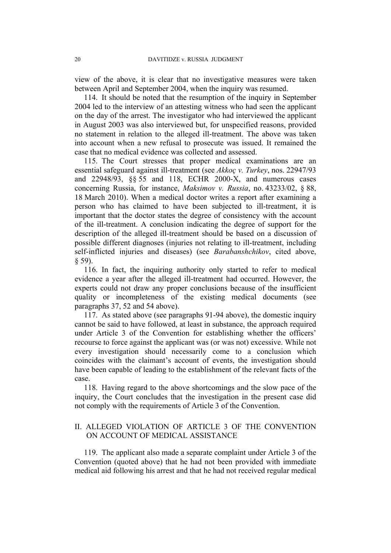view of the above, it is clear that no investigative measures were taken between April and September 2004, when the inquiry was resumed.

114. It should be noted that the resumption of the inquiry in September 2004 led to the interview of an attesting witness who had seen the applicant on the day of the arrest. The investigator who had interviewed the applicant in August 2003 was also interviewed but, for unspecified reasons, provided no statement in relation to the alleged ill-treatment. The above was taken into account when a new refusal to prosecute was issued. It remained the case that no medical evidence was collected and assessed.

115. The Court stresses that proper medical examinations are an essential safeguard against ill-treatment (see *Akkoç v. Turkey*, nos. 22947/93 and 22948/93, §§ 55 and 118, ECHR 2000-X, and numerous cases concerning Russia, for instance, *Maksimov v. Russia*, no. 43233/02, § 88, 18 March 2010). When a medical doctor writes a report after examining a person who has claimed to have been subjected to ill-treatment, it is important that the doctor states the degree of consistency with the account of the ill-treatment. A conclusion indicating the degree of support for the description of the alleged ill-treatment should be based on a discussion of possible different diagnoses (injuries not relating to ill-treatment, including self-inflicted injuries and diseases) (see *Barabanshchikov*, cited above,  $§$  59).

116. In fact, the inquiring authority only started to refer to medical evidence a year after the alleged ill-treatment had occurred. However, the experts could not draw any proper conclusions because of the insufficient quality or incompleteness of the existing medical documents (see paragraphs [37](#page-7-0), [52](#page-9-0) and [54](#page-9-1) above).

117. As stated above (see paragraphs [91-](#page-16-0)[94](#page-17-0) above), the domestic inquiry cannot be said to have followed, at least in substance, the approach required under Article 3 of the Convention for establishing whether the officers' recourse to force against the applicant was (or was not) excessive. While not every investigation should necessarily come to a conclusion which coincides with the claimant's account of events, the investigation should have been capable of leading to the establishment of the relevant facts of the case.

<span id="page-21-0"></span>118. Having regard to the above shortcomings and the slow pace of the inquiry, the Court concludes that the investigation in the present case did not comply with the requirements of Article 3 of the Convention.

# II. ALLEGED VIOLATION OF ARTICLE 3 OF THE CONVENTION ON ACCOUNT OF MEDICAL ASSISTANCE

119. The applicant also made a separate complaint under Article 3 of the Convention (quoted above) that he had not been provided with immediate medical aid following his arrest and that he had not received regular medical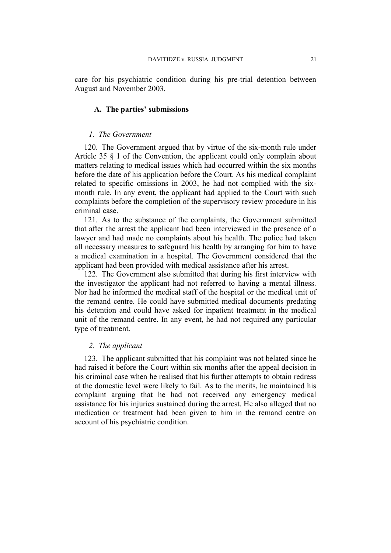care for his psychiatric condition during his pre-trial detention between August and November 2003.

## **A. The parties' submissions**

#### *1. The Government*

120. The Government argued that by virtue of the six-month rule under Article 35 § 1 of the Convention, the applicant could only complain about matters relating to medical issues which had occurred within the six months before the date of his application before the Court. As his medical complaint related to specific omissions in 2003, he had not complied with the sixmonth rule. In any event, the applicant had applied to the Court with such complaints before the completion of the supervisory review procedure in his criminal case.

121. As to the substance of the complaints, the Government submitted that after the arrest the applicant had been interviewed in the presence of a lawyer and had made no complaints about his health. The police had taken all necessary measures to safeguard his health by arranging for him to have a medical examination in a hospital. The Government considered that the applicant had been provided with medical assistance after his arrest.

122. The Government also submitted that during his first interview with the investigator the applicant had not referred to having a mental illness. Nor had he informed the medical staff of the hospital or the medical unit of the remand centre. He could have submitted medical documents predating his detention and could have asked for inpatient treatment in the medical unit of the remand centre. In any event, he had not required any particular type of treatment.

# *2. The applicant*

123. The applicant submitted that his complaint was not belated since he had raised it before the Court within six months after the appeal decision in his criminal case when he realised that his further attempts to obtain redress at the domestic level were likely to fail. As to the merits, he maintained his complaint arguing that he had not received any emergency medical assistance for his injuries sustained during the arrest. He also alleged that no medication or treatment had been given to him in the remand centre on account of his psychiatric condition.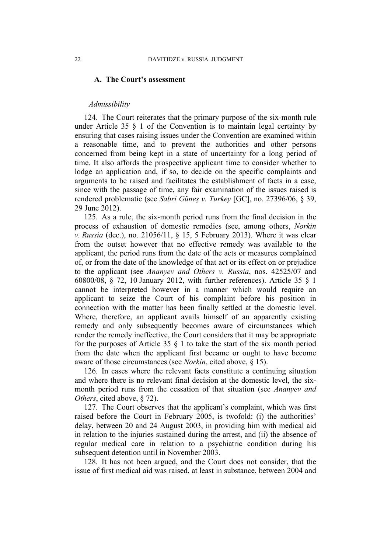## **A. The Court's assessment**

#### *Admissibility*

124. The Court reiterates that the primary purpose of the six-month rule under Article 35 § 1 of the Convention is to maintain legal certainty by ensuring that cases raising issues under the Convention are examined within a reasonable time, and to prevent the authorities and other persons concerned from being kept in a state of uncertainty for a long period of time. It also affords the prospective applicant time to consider whether to lodge an application and, if so, to decide on the specific complaints and arguments to be raised and facilitates the establishment of facts in a case, since with the passage of time, any fair examination of the issues raised is rendered problematic (see *Sabri Güneş v. Turkey* [GC], no. 27396/06, § 39, 29 June 2012).

125. As a rule, the six-month period runs from the final decision in the process of exhaustion of domestic remedies (see, among others, *Norkin v. Russia* (dec.), no. 21056/11, § 15, 5 February 2013). Where it was clear from the outset however that no effective remedy was available to the applicant, the period runs from the date of the acts or measures complained of, or from the date of the knowledge of that act or its effect on or prejudice to the applicant (see *Ananyev and Others v. Russia*, nos. 42525/07 and 60800/08, § 72, 10 January 2012, with further references). Article 35 § 1 cannot be interpreted however in a manner which would require an applicant to seize the Court of his complaint before his position in connection with the matter has been finally settled at the domestic level. Where, therefore, an applicant avails himself of an apparently existing remedy and only subsequently becomes aware of circumstances which render the remedy ineffective, the Court considers that it may be appropriate for the purposes of Article 35  $\S$  1 to take the start of the six month period from the date when the applicant first became or ought to have become aware of those circumstances (see *Norkin*, cited above, § 15).

126. In cases where the relevant facts constitute a continuing situation and where there is no relevant final decision at the domestic level, the sixmonth period runs from the cessation of that situation (see *Ananyev and Others*, cited above, § 72).

127. The Court observes that the applicant's complaint, which was first raised before the Court in February 2005, is twofold: (i) the authorities' delay, between 20 and 24 August 2003, in providing him with medical aid in relation to the injuries sustained during the arrest, and (ii) the absence of regular medical care in relation to a psychiatric condition during his subsequent detention until in November 2003.

128. It has not been argued, and the Court does not consider, that the issue of first medical aid was raised, at least in substance, between 2004 and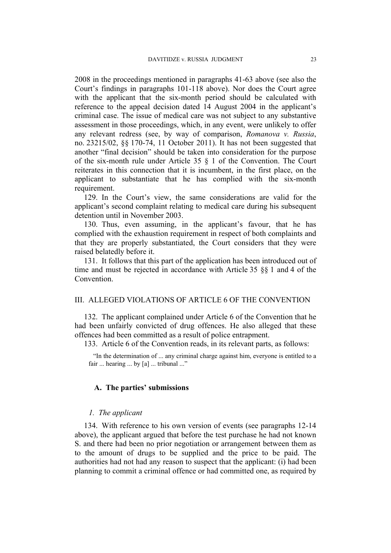2008 in the proceedings mentioned in paragraphs [41](#page-8-3)[-63](#page-10-0) above (see also the Court's findings in paragraphs [101-](#page-18-0)[118](#page-21-0) above). Nor does the Court agree with the applicant that the six-month period should be calculated with reference to the appeal decision dated 14 August 2004 in the applicant's criminal case. The issue of medical care was not subject to any substantive assessment in those proceedings, which, in any event, were unlikely to offer any relevant redress (see, by way of comparison, *Romanova v. Russia*, no. 23215/02, §§ 170-74, 11 October 2011). It has not been suggested that another "final decision" should be taken into consideration for the purpose of the six-month rule under Article 35 § 1 of the Convention. The Court reiterates in this connection that it is incumbent, in the first place, on the applicant to substantiate that he has complied with the six-month requirement.

129. In the Court's view, the same considerations are valid for the applicant's second complaint relating to medical care during his subsequent detention until in November 2003.

130. Thus, even assuming, in the applicant's favour, that he has complied with the exhaustion requirement in respect of both complaints and that they are properly substantiated, the Court considers that they were raised belatedly before it.

131. It follows that this part of the application has been introduced out of time and must be rejected in accordance with Article 35 §§ 1 and 4 of the **Convention** 

# III. ALLEGED VIOLATIONS OF ARTICLE 6 OF THE CONVENTION

132. The applicant complained under Article 6 of the Convention that he had been unfairly convicted of drug offences. He also alleged that these offences had been committed as a result of police entrapment.

133. Article 6 of the Convention reads, in its relevant parts, as follows:

"In the determination of ... any criminal charge against him, everyone is entitled to a fair ... hearing ... by [a] ... tribunal ..."

# **A. The parties' submissions**

# *1. The applicant*

134. With reference to his own version of events (see paragraphs [12-](#page-4-1)[14](#page-4-2) above), the applicant argued that before the test purchase he had not known S. and there had been no prior negotiation or arrangement between them as to the amount of drugs to be supplied and the price to be paid. The authorities had not had any reason to suspect that the applicant: (i) had been planning to commit a criminal offence or had committed one, as required by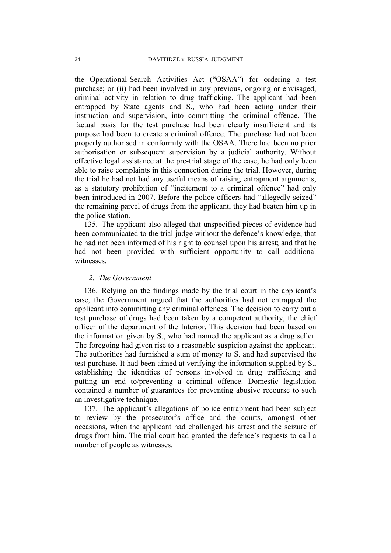the Operational-Search Activities Act ("OSAA") for ordering a test purchase; or (ii) had been involved in any previous, ongoing or envisaged, criminal activity in relation to drug trafficking. The applicant had been entrapped by State agents and S., who had been acting under their instruction and supervision, into committing the criminal offence. The factual basis for the test purchase had been clearly insufficient and its purpose had been to create a criminal offence. The purchase had not been properly authorised in conformity with the OSAA. There had been no prior authorisation or subsequent supervision by a judicial authority. Without effective legal assistance at the pre-trial stage of the case, he had only been able to raise complaints in this connection during the trial. However, during the trial he had not had any useful means of raising entrapment arguments, as a statutory prohibition of "incitement to a criminal offence" had only been introduced in 2007. Before the police officers had "allegedly seized" the remaining parcel of drugs from the applicant, they had beaten him up in the police station.

135. The applicant also alleged that unspecified pieces of evidence had been communicated to the trial judge without the defence's knowledge; that he had not been informed of his right to counsel upon his arrest; and that he had not been provided with sufficient opportunity to call additional witnesses.

## *2. The Government*

136. Relying on the findings made by the trial court in the applicant's case, the Government argued that the authorities had not entrapped the applicant into committing any criminal offences. The decision to carry out a test purchase of drugs had been taken by a competent authority, the chief officer of the department of the Interior. This decision had been based on the information given by S., who had named the applicant as a drug seller. The foregoing had given rise to a reasonable suspicion against the applicant. The authorities had furnished a sum of money to S. and had supervised the test purchase. It had been aimed at verifying the information supplied by S., establishing the identities of persons involved in drug trafficking and putting an end to/preventing a criminal offence. Domestic legislation contained a number of guarantees for preventing abusive recourse to such an investigative technique.

137. The applicant's allegations of police entrapment had been subject to review by the prosecutor's office and the courts, amongst other occasions, when the applicant had challenged his arrest and the seizure of drugs from him. The trial court had granted the defence's requests to call a number of people as witnesses.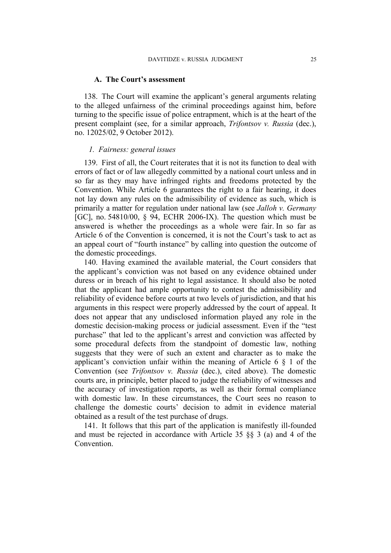#### **A. The Court's assessment**

138. The Court will examine the applicant's general arguments relating to the alleged unfairness of the criminal proceedings against him, before turning to the specific issue of police entrapment, which is at the heart of the present complaint (see, for a similar approach, *Trifontsov v. Russia* (dec.), no. 12025/02, 9 October 2012).

#### *1. Fairness: general issues*

139. First of all, the Court reiterates that it is not its function to deal with errors of fact or of law allegedly committed by a national court unless and in so far as they may have infringed rights and freedoms protected by the Convention. While Article 6 guarantees the right to a fair hearing, it does not lay down any rules on the admissibility of evidence as such, which is primarily a matter for regulation under national law (see *Jalloh v. Germany* [GC], no. 54810/00, § 94, ECHR 2006-IX). The question which must be answered is whether the proceedings as a whole were fair. In so far as Article 6 of the Convention is concerned, it is not the Court's task to act as an appeal court of "fourth instance" by calling into question the outcome of the domestic proceedings.

140. Having examined the available material, the Court considers that the applicant's conviction was not based on any evidence obtained under duress or in breach of his right to legal assistance. It should also be noted that the applicant had ample opportunity to contest the admissibility and reliability of evidence before courts at two levels of jurisdiction, and that his arguments in this respect were properly addressed by the court of appeal. It does not appear that any undisclosed information played any role in the domestic decision-making process or judicial assessment. Even if the "test purchase" that led to the applicant's arrest and conviction was affected by some procedural defects from the standpoint of domestic law, nothing suggests that they were of such an extent and character as to make the applicant's conviction unfair within the meaning of Article 6 § 1 of the Convention (see *Trifontsov v. Russia* (dec.), cited above). The domestic courts are, in principle, better placed to judge the reliability of witnesses and the accuracy of investigation reports, as well as their formal compliance with domestic law. In these circumstances, the Court sees no reason to challenge the domestic courts' decision to admit in evidence material obtained as a result of the test purchase of drugs.

141. It follows that this part of the application is manifestly ill-founded and must be rejected in accordance with Article 35 §§ 3 (a) and 4 of the Convention.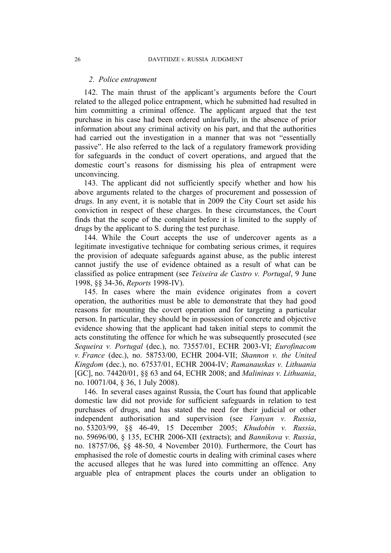#### *2. Police entrapment*

142. The main thrust of the applicant's arguments before the Court related to the alleged police entrapment, which he submitted had resulted in him committing a criminal offence. The applicant argued that the test purchase in his case had been ordered unlawfully, in the absence of prior information about any criminal activity on his part, and that the authorities had carried out the investigation in a manner that was not "essentially passive". He also referred to the lack of a regulatory framework providing for safeguards in the conduct of covert operations, and argued that the domestic court's reasons for dismissing his plea of entrapment were unconvincing.

143. The applicant did not sufficiently specify whether and how his above arguments related to the charges of procurement and possession of drugs. In any event, it is notable that in 2009 the City Court set aside his conviction in respect of these charges. In these circumstances, the Court finds that the scope of the complaint before it is limited to the supply of drugs by the applicant to S. during the test purchase.

144. While the Court accepts the use of undercover agents as a legitimate investigative technique for combating serious crimes, it requires the provision of adequate safeguards against abuse, as the public interest cannot justify the use of evidence obtained as a result of what can be classified as police entrapment (see *Teixeira de Castro v. Portugal*, 9 June 1998, §§ 34-36, *Reports* 1998-IV).

145. In cases where the main evidence originates from a covert operation, the authorities must be able to demonstrate that they had good reasons for mounting the covert operation and for targeting a particular person. In particular, they should be in possession of concrete and objective evidence showing that the applicant had taken initial steps to commit the acts constituting the offence for which he was subsequently prosecuted (see *Sequeira v. Portugal* (dec.), no. 73557/01, ECHR 2003-VI; *Eurofinacom v. France* (dec.), no. 58753/00, ECHR 2004-VII; *Shannon v. the United Kingdom* (dec.), no. 67537/01, ECHR 2004-IV; *Ramanauskas v. Lithuania* [GC], no. 74420/01, §§ 63 and 64, ECHR 2008; and *Malininas v. Lithuania*, no. 10071/04, § 36, 1 July 2008).

146. In several cases against Russia, the Court has found that applicable domestic law did not provide for sufficient safeguards in relation to test purchases of drugs, and has stated the need for their judicial or other independent authorisation and supervision (see *Vanyan v. Russia*, no. 53203/99, §§ 46-49, 15 December 2005; *Khudobin v. Russia*, no. 59696/00, § 135, ECHR 2006-XII (extracts); and *Bannikova v. Russia*, no. 18757/06, §§ 48-50, 4 November 2010). Furthermore, the Court has emphasised the role of domestic courts in dealing with criminal cases where the accused alleges that he was lured into committing an offence. Any arguable plea of entrapment places the courts under an obligation to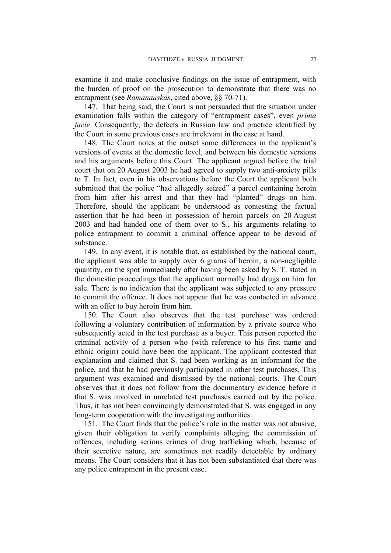examine it and make conclusive findings on the issue of entrapment, with the burden of proof on the prosecution to demonstrate that there was no entrapment (see *Ramanauskas*, cited above, §§ 70-71).

147. That being said, the Court is not persuaded that the situation under examination falls within the category of "entrapment cases", even *prima facie*. Consequently, the defects in Russian law and practice identified by the Court in some previous cases are irrelevant in the case at hand.

148. The Court notes at the outset some differences in the applicant's versions of events at the domestic level, and between his domestic versions and his arguments before this Court. The applicant argued before the trial court that on 20 August 2003 he had agreed to supply two anti-anxiety pills to T. In fact, even in his observations before the Court the applicant both submitted that the police "had allegedly seized" a parcel containing heroin from him after his arrest and that they had "planted" drugs on him. Therefore, should the applicant be understood as contesting the factual assertion that he had been in possession of heroin parcels on 20 August 2003 and had handed one of them over to S., his arguments relating to police entrapment to commit a criminal offence appear to be devoid of substance.

149. In any event, it is notable that, as established by the national court, the applicant was able to supply over 6 grams of heroin, a non-negligible quantity, on the spot immediately after having been asked by S. T. stated in the domestic proceedings that the applicant normally had drugs on him for sale. There is no indication that the applicant was subjected to any pressure to commit the offence. It does not appear that he was contacted in advance with an offer to buy heroin from him.

150. The Court also observes that the test purchase was ordered following a voluntary contribution of information by a private source who subsequently acted in the test purchase as a buyer. This person reported the criminal activity of a person who (with reference to his first name and ethnic origin) could have been the applicant. The applicant contested that explanation and claimed that S. had been working as an informant for the police, and that he had previously participated in other test purchases. This argument was examined and dismissed by the national courts. The Court observes that it does not follow from the documentary evidence before it that S. was involved in unrelated test purchases carried out by the police. Thus, it has not been convincingly demonstrated that S. was engaged in any long-term cooperation with the investigating authorities.

151. The Court finds that the police's role in the matter was not abusive, given their obligation to verify complaints alleging the commission of offences, including serious crimes of drug trafficking which, because of their secretive nature, are sometimes not readily detectable by ordinary means. The Court considers that it has not been substantiated that there was any police entrapment in the present case.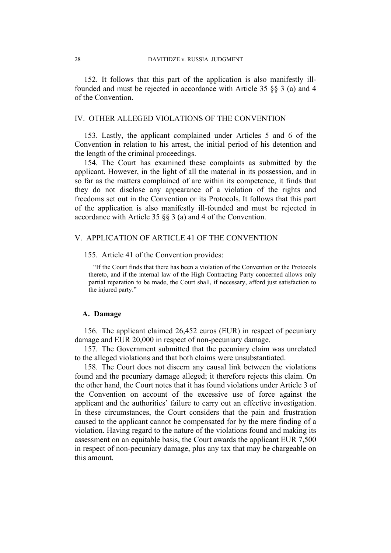152. It follows that this part of the application is also manifestly illfounded and must be rejected in accordance with Article 35 §§ 3 (a) and 4 of the Convention.

# IV. OTHER ALLEGED VIOLATIONS OF THE CONVENTION

153. Lastly, the applicant complained under Articles 5 and 6 of the Convention in relation to his arrest, the initial period of his detention and the length of the criminal proceedings.

154. The Court has examined these complaints as submitted by the applicant. However, in the light of all the material in its possession, and in so far as the matters complained of are within its competence, it finds that they do not disclose any appearance of a violation of the rights and freedoms set out in the Convention or its Protocols. It follows that this part of the application is also manifestly ill-founded and must be rejected in accordance with Article 35 §§ 3 (a) and 4 of the Convention.

# V. APPLICATION OF ARTICLE 41 OF THE CONVENTION

#### 155. Article 41 of the Convention provides:

"If the Court finds that there has been a violation of the Convention or the Protocols thereto, and if the internal law of the High Contracting Party concerned allows only partial reparation to be made, the Court shall, if necessary, afford just satisfaction to the injured party."

# **A. Damage**

156. The applicant claimed 26,452 euros (EUR) in respect of pecuniary damage and EUR 20,000 in respect of non-pecuniary damage.

157. The Government submitted that the pecuniary claim was unrelated to the alleged violations and that both claims were unsubstantiated.

158. The Court does not discern any causal link between the violations found and the pecuniary damage alleged; it therefore rejects this claim. On the other hand, the Court notes that it has found violations under Article 3 of the Convention on account of the excessive use of force against the applicant and the authorities' failure to carry out an effective investigation. In these circumstances, the Court considers that the pain and frustration caused to the applicant cannot be compensated for by the mere finding of a violation. Having regard to the nature of the violations found and making its assessment on an equitable basis, the Court awards the applicant EUR 7,500 in respect of non-pecuniary damage, plus any tax that may be chargeable on this amount.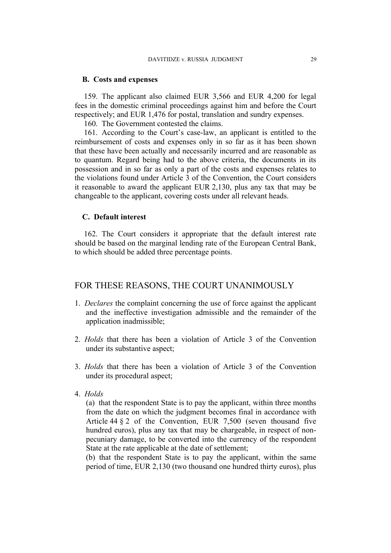## **B. Costs and expenses**

159. The applicant also claimed EUR 3,566 and EUR 4,200 for legal fees in the domestic criminal proceedings against him and before the Court respectively; and EUR 1,476 for postal, translation and sundry expenses.

160. The Government contested the claims.

161. According to the Court's case-law, an applicant is entitled to the reimbursement of costs and expenses only in so far as it has been shown that these have been actually and necessarily incurred and are reasonable as to quantum. Regard being had to the above criteria, the documents in its possession and in so far as only a part of the costs and expenses relates to the violations found under Article 3 of the Convention, the Court considers it reasonable to award the applicant EUR 2,130, plus any tax that may be changeable to the applicant, covering costs under all relevant heads.

#### **C. Default interest**

162. The Court considers it appropriate that the default interest rate should be based on the marginal lending rate of the European Central Bank, to which should be added three percentage points.

# FOR THESE REASONS, THE COURT UNANIMOUSLY

- 1. *Declares* the complaint concerning the use of force against the applicant and the ineffective investigation admissible and the remainder of the application inadmissible;
- 2. *Holds* that there has been a violation of Article 3 of the Convention under its substantive aspect;
- 3. *Holds* that there has been a violation of Article 3 of the Convention under its procedural aspect;
- 4. *Holds*

(a) that the respondent State is to pay the applicant, within three months from the date on which the judgment becomes final in accordance with Article 44 § 2 of the Convention, EUR 7,500 (seven thousand five hundred euros), plus any tax that may be chargeable, in respect of nonpecuniary damage, to be converted into the currency of the respondent State at the rate applicable at the date of settlement;

(b) that the respondent State is to pay the applicant, within the same period of time, EUR 2,130 (two thousand one hundred thirty euros), plus